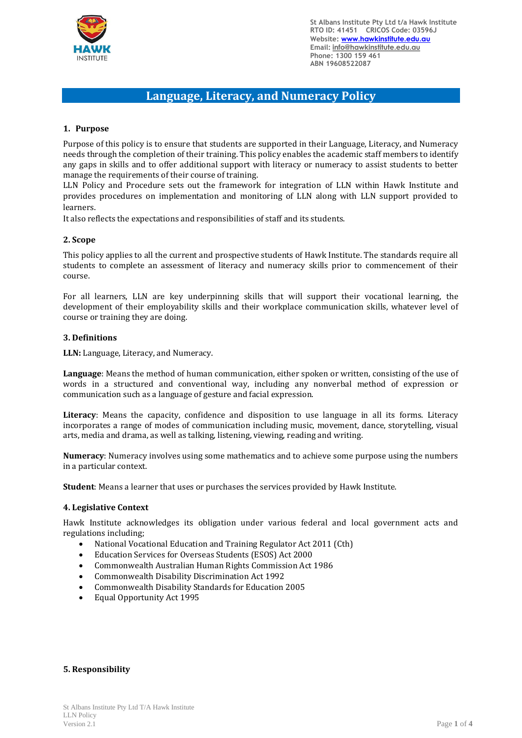

# **Language, Literacy, and Numeracy Policy**

# **1. Purpose**

Purpose of this policy is to ensure that students are supported in their Language, Literacy, and Numeracy needs through the completion of their training. This policy enables the academic staff members to identify any gaps in skills and to offer additional support with literacy or numeracy to assist students to better manage the requirements of their course of training.

LLN Policy and Procedure sets out the framework for integration of LLN within Hawk Institute and provides procedures on implementation and monitoring of LLN along with LLN support provided to learners.

It also reflects the expectations and responsibilities of staff and its students.

# **2. Scope**

This policy applies to all the current and prospective students of Hawk Institute. The standards require all students to complete an assessment of literacy and numeracy skills prior to commencement of their course.

For all learners, LLN are key underpinning skills that will support their vocational learning, the development of their employability skills and their workplace communication skills, whatever level of course or training they are doing.

#### **3. Definitions**

**LLN:** Language, Literacy, and Numeracy.

**Language**: Means the method of human communication, either spoken or written, consisting of the use of words in a structured and conventional way, including any nonverbal method of expression or communication such as a language of gesture and facial expression.

**Literacy**: Means the capacity, confidence and disposition to use language in all its forms. Literacy incorporates a range of modes of communication including music, movement, dance, storytelling, visual arts, media and drama, as well as talking, listening, viewing, reading and writing.

**Numeracy**: Numeracy involves using some mathematics and to achieve some purpose using the numbers in a particular context.

**Student**: Means a learner that uses or purchases the services provided by Hawk Institute.

#### **4. Legislative Context**

Hawk Institute acknowledges its obligation under various federal and local government acts and regulations including;

- National Vocational Education and Training Regulator Act 2011 (Cth)
- Education Services for Overseas Students (ESOS) Act 2000
- Commonwealth Australian Human Rights Commission Act 1986
- Commonwealth Disability Discrimination Act 1992
- Commonwealth Disability Standards for Education 2005
- Equal Opportunity Act 1995

## **5. Responsibility**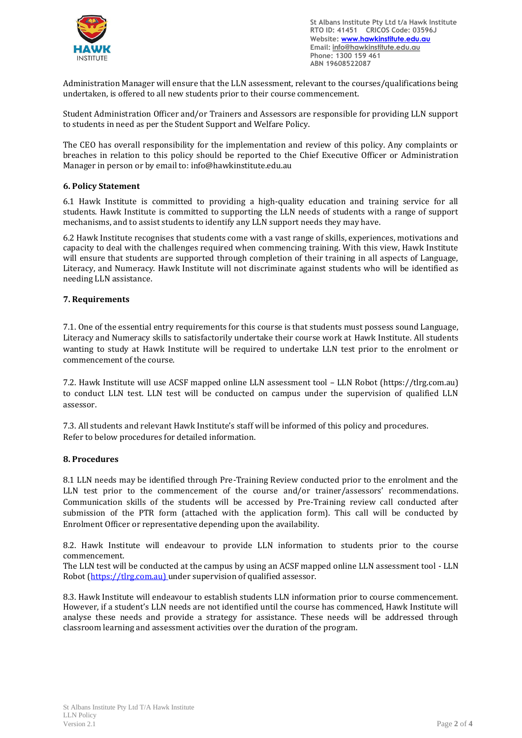

Administration Manager will ensure that the LLN assessment, relevant to the courses/qualifications being undertaken, is offered to all new students prior to their course commencement.

Student Administration Officer and/or Trainers and Assessors are responsible for providing LLN support to students in need as per the Student Support and Welfare Policy.

The CEO has overall responsibility for the implementation and review of this policy. Any complaints or breaches in relation to this policy should be reported to the Chief Executive Officer or Administration Manager in person or by email to: [info@hawkinstitute.edu.au](mailto:info@hawkinstitute.edu.au)

# **6. Policy Statement**

6.1 Hawk Institute is committed to providing a high-quality education and training service for all students. Hawk Institute is committed to supporting the LLN needs of students with a range of support mechanisms, and to assist students to identify any LLN support needs they may have.

6.2 Hawk Institute recognises that students come with a vast range of skills, experiences, motivations and capacity to deal with the challenges required when commencing training. With this view, Hawk Institute will ensure that students are supported through completion of their training in all aspects of Language, Literacy, and Numeracy. Hawk Institute will not discriminate against students who will be identified as needing LLN assistance.

# **7. Requirements**

7.1. One of the essential entry requirements for this course is that students must possess sound Language, Literacy and Numeracy skills to satisfactorily undertake their course work at Hawk Institute. All students wanting to study at Hawk Institute will be required to undertake LLN test prior to the enrolment or commencement of the course.

7.2. Hawk Institute will use ACSF mapped online LLN assessment tool – LLN Robot [\(https://tlrg.com.au\)](https://tlrg.com.au/) to conduct LLN test. LLN test will be conducted on campus under the supervision of qualified LLN assessor.

7.3. All students and relevant Hawk Institute's staff will be informed of this policy and procedures. Refer to below procedures for detailed information.

## **8. Procedures**

8.1 LLN needs may be identified through Pre-Training Review conducted prior to the enrolment and the LLN test prior to the commencement of the course and/or trainer/assessors' recommendations. Communication skills of the students will be accessed by Pre-Training review call conducted after submission of the PTR form (attached with the application form). This call will be conducted by Enrolment Officer or representative depending upon the availability.

8.2. Hawk Institute will endeavour to provide LLN information to students prior to the course commencement.

The LLN test will be conducted at the campus by using an ACSF mapped online LLN assessment tool - LLN Robot [\(https://tlrg.com.au\)](https://tlrg.com.au/) under supervision of qualified assessor.

8.3. Hawk Institute will endeavour to establish students LLN information prior to course commencement. However, if a student's LLN needs are not identified until the course has commenced, Hawk Institute will analyse these needs and provide a strategy for assistance. These needs will be addressed through classroom learning and assessment activities over the duration of the program.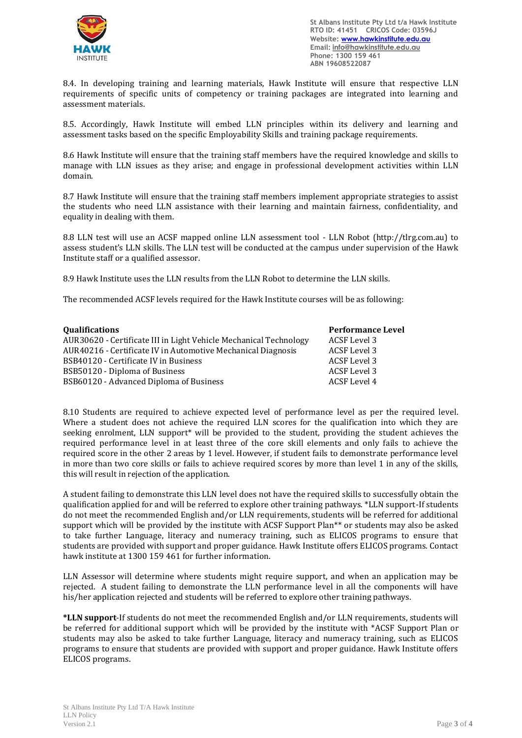

8.4. In developing training and learning materials, Hawk Institute will ensure that respective LLN requirements of specific units of competency or training packages are integrated into learning and assessment materials.

8.5. Accordingly, Hawk Institute will embed LLN principles within its delivery and learning and assessment tasks based on the specific Employability Skills and training package requirements.

8.6 Hawk Institute will ensure that the training staff members have the required knowledge and skills to manage with LLN issues as they arise; and engage in professional development activities within LLN domain.

8.7 Hawk Institute will ensure that the training staff members implement appropriate strategies to assist the students who need LLN assistance with their learning and maintain fairness, confidentiality, and equality in dealing with them.

8.8 LLN test will use an ACSF mapped online LLN assessment tool - LLN Robot [\(http://tlrg.com.au\)](http://tlrg.com.au/) to assess student's LLN skills. The LLN test will be conducted at the campus under supervision of the Hawk Institute staff or a qualified assessor.

8.9 Hawk Institute uses the LLN results from the LLN Robot to determine the LLN skills.

The recommended ACSF levels required for the Hawk Institute courses will be as following:

| Qualifications                                                    | <b>Performance Level</b> |
|-------------------------------------------------------------------|--------------------------|
| AUR30620 - Certificate III in Light Vehicle Mechanical Technology | ACSF Level 3             |
| AUR40216 - Certificate IV in Automotive Mechanical Diagnosis      | ACSF Level 3             |
| BSB40120 - Certificate IV in Business                             | ACSF Level 3             |
| BSB50120 - Diploma of Business                                    | ACSF Level 3             |
| BSB60120 - Advanced Diploma of Business                           | ACSF Level 4             |

8.10 Students are required to achieve expected level of performance level as per the required level. Where a student does not achieve the required LLN scores for the qualification into which they are seeking enrolment, LLN support\* will be provided to the student, providing the student achieves the required performance level in at least three of the core skill elements and only fails to achieve the required score in the other 2 areas by 1 level. However, if student fails to demonstrate performance level in more than two core skills or fails to achieve required scores by more than level 1 in any of the skills, this will result in rejection of the application.

A student failing to demonstrate this LLN level does not have the required skills to successfully obtain the qualification applied for and will be referred to explore other training pathways. \*LLN support-If students do not meet the recommended English and/or LLN requirements, students will be referred for additional support which will be provided by the institute with ACSF Support Plan\*\* or students may also be asked to take further Language, literacy and numeracy training, such as ELICOS programs to ensure that students are provided with support and proper guidance. Hawk Institute offers ELICOS programs. Contact hawk institute at 1300 159 461 for further information.

LLN Assessor will determine where students might require support, and when an application may be rejected. A student failing to demonstrate the LLN performance level in all the components will have his/her application rejected and students will be referred to explore other training pathways.

**\*LLN support**-If students do not meet the recommended English and/or LLN requirements, students will be referred for additional support which will be provided by the institute with \*ACSF Support Plan or students may also be asked to take further Language, literacy and numeracy training, such as ELICOS programs to ensure that students are provided with support and proper guidance. Hawk Institute offers ELICOS programs.